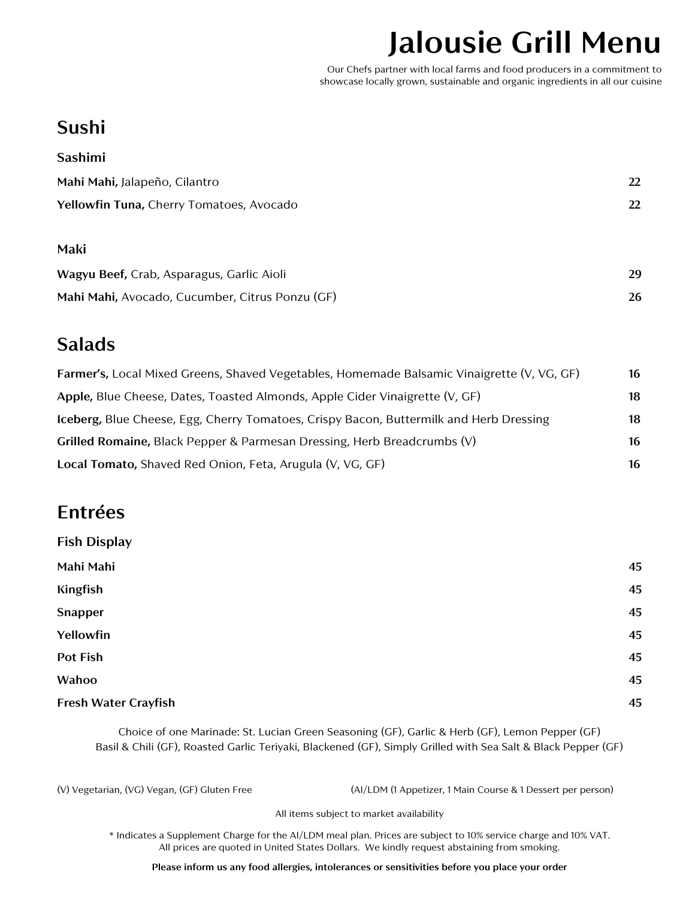# **Jalousie Grill Menu**

Our Chefs partner with local farms and food producers in a commitment to showcase locally grown, sustainable and organic ingredients in all our cuisine

### **Sushi**

| <b>Sashimi</b>                           |    |
|------------------------------------------|----|
| Mahi Mahi, Jalapeño, Cilantro            | 22 |
| Yellowfin Tuna, Cherry Tomatoes, Avocado | 22 |

#### **Maki**

| Wagyu Beef, Crab, Asparagus, Garlic Aioli       |  |
|-------------------------------------------------|--|
| Mahi Mahi, Avocado, Cucumber, Citrus Ponzu (GF) |  |

#### **Salads**

| Farmer's, Local Mixed Greens, Shaved Vegetables, Homemade Balsamic Vinaigrette (V, VG, GF) | 16 |
|--------------------------------------------------------------------------------------------|----|
| Apple, Blue Cheese, Dates, Toasted Almonds, Apple Cider Vinaigrette (V, GF)                | 18 |
| Iceberg, Blue Cheese, Egg, Cherry Tomatoes, Crispy Bacon, Buttermilk and Herb Dressing     | 18 |
| Grilled Romaine, Black Pepper & Parmesan Dressing, Herb Breadcrumbs $(V)$                  | 16 |
| Local Tomato, Shaved Red Onion, Feta, Arugula (V, VG, GF)                                  | 16 |

#### **Entrées**

| <b>Fish Display</b>         |    |
|-----------------------------|----|
| Mahi Mahi                   | 45 |
| Kingfish                    | 45 |
| <b>Snapper</b>              | 45 |
| Yellowfin                   | 45 |
| Pot Fish                    | 45 |
| Wahoo                       | 45 |
| <b>Fresh Water Crayfish</b> | 45 |
|                             |    |

Choice of one Marinade: St. Lucian Green Seasoning (GF), Garlic & Herb (GF), Lemon Pepper (GF) Basil & Chili (GF), Roasted Garlic Teriyaki, Blackened (GF), Simply Grilled with Sea Salt & Black Pepper (GF)

(V) Vegetarian, (VG) Vegan, (GF) Gluten Free (AI/LDM (1 Appetizer, 1 Main Course & 1 Dessert per person)

All items subject to market availability

\* Indicates a Supplement Charge for the AI/LDM meal plan. Prices are subject to 10% service charge and 10% VAT. All prices are quoted in United States Dollars. We kindly request abstaining from smoking.

**Please inform us any food allergies, intolerances or sensitivities before you place your order**